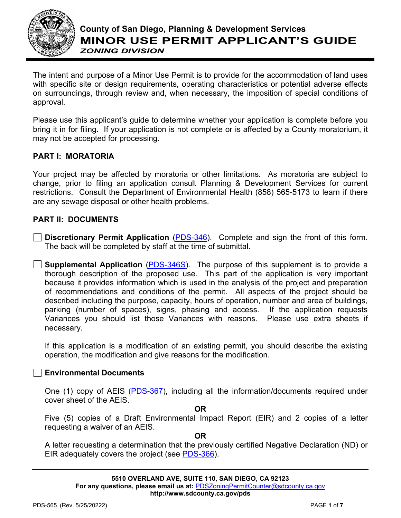

The intent and purpose of a Minor Use Permit is to provide for the accommodation of land uses with specific site or design requirements, operating characteristics or potential adverse effects on surroundings, through review and, when necessary, the imposition of special conditions of approval.

Please use this applicant's guide to determine whether your application is complete before you bring it in for filing. If your application is not complete or is affected by a County moratorium, it may not be accepted for processing.

## **PART I: MORATORIA**

Your project may be affected by moratoria or other limitations. As moratoria are subject to change, prior to filing an application consult Planning & Development Services for current restrictions. Consult the Department of Environmental Health (858) 565-5173 to learn if there are any sewage disposal or other health problems.

## **PART II: DOCUMENTS**

**Discretionary Permit Application** [\(PDS-346\)](https://www.sandiegocounty.gov/content/dam/sdc/pds/zoning/formfields/PDS-PLN-346.pdf). Complete and sign the front of this form. The back will be completed by staff at the time of submittal.

**Supplemental Application** [\(PDS-346S\)](https://www.sandiegocounty.gov/content/dam/sdc/pds/zoning/formfields/PDS-PLN-346S.pdf). The purpose of this supplement is to provide a thorough description of the proposed use. This part of the application is very important because it provides information which is used in the analysis of the project and preparation of recommendations and conditions of the permit. All aspects of the project should be described including the purpose, capacity, hours of operation, number and area of buildings, parking (number of spaces), signs, phasing and access. If the application requests Variances you should list those Variances with reasons. necessary.

If this application is a modification of an existing permit, you should describe the existing operation, the modification and give reasons for the modification.

## **Environmental Documents**

One (1) copy of AEIS [\(PDS-367\)](https://www.sandiegocounty.gov/content/dam/sdc/pds/zoning/formfields/PDS-PLN-367.pdf), including all the information/documents required under cover sheet of the AEIS.

#### **OR**

Five (5) copies of a Draft Environmental Impact Report (EIR) and 2 copies of a letter requesting a waiver of an AEIS.

#### **OR**

A letter requesting a determination that the previously certified Negative Declaration (ND) or EIR adequately covers the project (see [PDS-366\)](https://www.sandiegocounty.gov/content/dam/sdc/pds/zoning/formfields/PDS-PLN-366.pdf).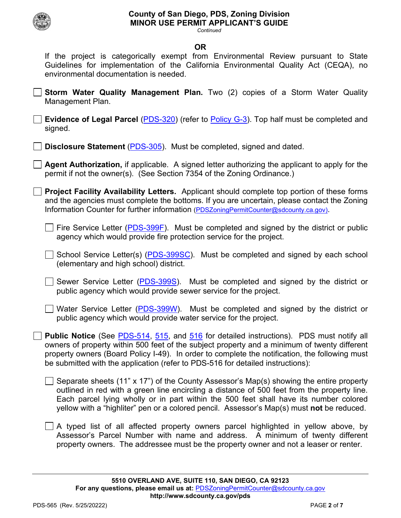

#### *Continued*

### **OR**

If the project is categorically exempt from Environmental Review pursuant to State Guidelines for implementation of the California Environmental Quality Act (CEQA), no environmental documentation is needed.

**Storm Water Quality Management Plan.** Two (2) copies of a Storm Water Quality Management Plan.

**Evidence of Legal Parcel** [\(PDS-320\)](https://www.sandiegocounty.gov/content/dam/sdc/pds/zoning/formfields/PDS-PLN-320.pdf) (refer to [Policy G-3\)](https://www.sandiegocounty.gov/content/dam/sdc/pds/zoning/formfields/POLICY-G-3.pdf). Top half must be completed and signed.

**Disclosure Statement** [\(PDS-305\)](https://www.sandiegocounty.gov/content/dam/sdc/pds/zoning/formfields/PDS-PLN-305.pdf). Must be completed, signed and dated.

**Agent Authorization,** if applicable. A signed letter authorizing the applicant to apply for the permit if not the owner(s). (See Section 7354 of the Zoning Ordinance.)

**Project Facility Availability Letters.** Applicant should complete top portion of these forms and the agencies must complete the bottoms. If you are uncertain, please contact the Zoning Information Counter for further information [\(PDSZoningPermitCounter@sdcounty.ca.gov\)](mailto:PDSZoningPermitCounter@sdcounty.ca.gov).

 $\Box$  Fire Service Letter [\(PDS-399F\)](https://www.sandiegocounty.gov/content/dam/sdc/pds/zoning/formfields/PDS-PLN-399F.pdf). Must be completed and signed by the district or public agency which would provide fire protection service for the project.

 $\Box$  School Service Letter(s) [\(PDS-399SC\)](https://www.sandiegocounty.gov/content/dam/sdc/pds/zoning/formfields/PDS-PLN-399SC.pdf). Must be completed and signed by each school (elementary and high school) district.

 $\Box$  Sewer Service Letter [\(PDS-399S\)](https://www.sandiegocounty.gov/content/dam/sdc/pds/zoning/formfields/PDS-PLN-399S.pdf). Must be completed and signed by the district or public agency which would provide sewer service for the project.

Water Service Letter [\(PDS-399W\)](https://www.sandiegocounty.gov/content/dam/sdc/pds/zoning/formfields/PDS-PLN-399W.pdf). Must be completed and signed by the district or public agency which would provide water service for the project.

**Public Notice** (See [PDS-514,](https://www.sandiegocounty.gov/content/dam/sdc/pds/zoning/formfields/PDS-PLN-514.pdf) [515,](https://www.sandiegocounty.gov/content/dam/sdc/pds/zoning/formfields/PDS-PLN-515.pdf) and [516](https://www.sandiegocounty.gov/content/dam/sdc/pds/zoning/formfields/PDS-PLN-516.pdf) for detailed instructions). PDS must notify all owners of property within 500 feet of the subject property and a minimum of twenty different property owners (Board Policy I-49). In order to complete the notification, the following must be submitted with the application (refer to PDS-516 for detailed instructions):

 $\Box$  Separate sheets (11" x 17") of the County Assessor's Map(s) showing the entire property outlined in red with a green line encircling a distance of 500 feet from the property line. Each parcel lying wholly or in part within the 500 feet shall have its number colored yellow with a "highliter" pen or a colored pencil. Assessor's Map(s) must **not** be reduced.

A typed list of all affected property owners parcel highlighted in yellow above, by Assessor's Parcel Number with name and address. A minimum of twenty different property owners. The addressee must be the property owner and not a leaser or renter.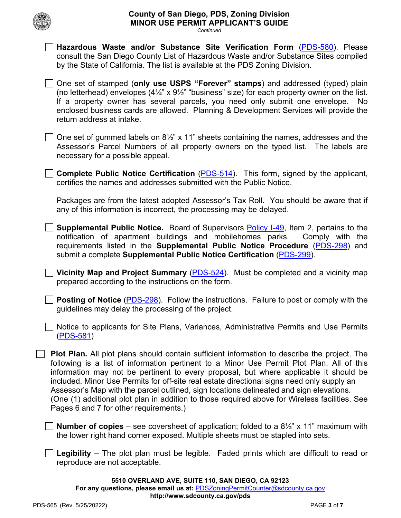# **County of San Diego, PDS, Zoning Division MINOR USE PERMIT APPLICANT'S GUIDE**

*Continued*

by the State of California. The list is available at the PDS Zoning Division.

**Hazardous Waste and/or Substance Site Verification Form** [\(PDS-580\)](https://www.sandiegocounty.gov/content/dam/sdc/pds/zoning/formfields/PDS-PLN-580.pdf). Please consult the San Diego County List of Hazardous Waste and/or Substance Sites compiled

| One set of stamped (only use USPS "Forever" stamps) and addressed (typed) plain<br>(no letterhead) envelopes $(4\frac{1}{4}$ " x $9\frac{1}{2}$ " "business" size) for each property owner on the list.<br>If a property owner has several parcels, you need only submit one envelope. No<br>enclosed business cards are allowed. Planning & Development Services will provide the<br>return address at intake.                                                                                                                                                                                                         |  |
|-------------------------------------------------------------------------------------------------------------------------------------------------------------------------------------------------------------------------------------------------------------------------------------------------------------------------------------------------------------------------------------------------------------------------------------------------------------------------------------------------------------------------------------------------------------------------------------------------------------------------|--|
| One set of gummed labels on $8\frac{1}{2}$ " x 11" sheets containing the names, addresses and the<br>Assessor's Parcel Numbers of all property owners on the typed list. The labels are<br>necessary for a possible appeal.                                                                                                                                                                                                                                                                                                                                                                                             |  |
| <b>Complete Public Notice Certification (PDS-514).</b> This form, signed by the applicant,<br>certifies the names and addresses submitted with the Public Notice.                                                                                                                                                                                                                                                                                                                                                                                                                                                       |  |
| Packages are from the latest adopted Assessor's Tax Roll. You should be aware that if<br>any of this information is incorrect, the processing may be delayed.                                                                                                                                                                                                                                                                                                                                                                                                                                                           |  |
| <b>Supplemental Public Notice.</b> Board of Supervisors Policy I-49, Item 2, pertains to the<br>notification of apartment buildings and mobilehomes parks.<br>Comply with the<br>requirements listed in the Supplemental Public Notice Procedure (PDS-298) and<br>submit a complete Supplemental Public Notice Certification (PDS-299).                                                                                                                                                                                                                                                                                 |  |
| Vicinity Map and Project Summary (PDS-524). Must be completed and a vicinity map<br>prepared according to the instructions on the form.                                                                                                                                                                                                                                                                                                                                                                                                                                                                                 |  |
| <b>Posting of Notice (PDS-298)</b> . Follow the instructions. Failure to post or comply with the<br>guidelines may delay the processing of the project.                                                                                                                                                                                                                                                                                                                                                                                                                                                                 |  |
| Notice to applicants for Site Plans, Variances, Administrative Permits and Use Permits<br>$($ PDS-581 $)$                                                                                                                                                                                                                                                                                                                                                                                                                                                                                                               |  |
| Plot Plan. All plot plans should contain sufficient information to describe the project. The<br>following is a list of information pertinent to a Minor Use Permit Plot Plan. All of this<br>information may not be pertinent to every proposal, but where applicable it should be<br>included. Minor Use Permits for off-site real estate directional signs need only supply an<br>Assessor's Map with the parcel outlined, sign locations delineated and sign elevations.<br>(One (1) additional plot plan in addition to those required above for Wireless facilities. See<br>Pages 6 and 7 for other requirements.) |  |
| <b>Number of copies</b> – see coversheet of application; folded to a $8\frac{1}{2}$ " x 11" maximum with<br>the lower right hand corner exposed. Multiple sheets must be stapled into sets.                                                                                                                                                                                                                                                                                                                                                                                                                             |  |
| <b>Legibility</b> – The plot plan must be legible. Faded prints which are difficult to read or<br>reproduce are not acceptable.                                                                                                                                                                                                                                                                                                                                                                                                                                                                                         |  |
| 5510 OVERLAND AVE, SUITE 110, SAN DIEGO, CA 92123<br>For any questions, please email us at: PDSZoningPermitCounter@sdcounty.ca.gov<br>http://www.sdcounty.ca.gov/pds                                                                                                                                                                                                                                                                                                                                                                                                                                                    |  |
| PDS-565 (Rev. 5/25/20222)<br>PAGE 3 of 7                                                                                                                                                                                                                                                                                                                                                                                                                                                                                                                                                                                |  |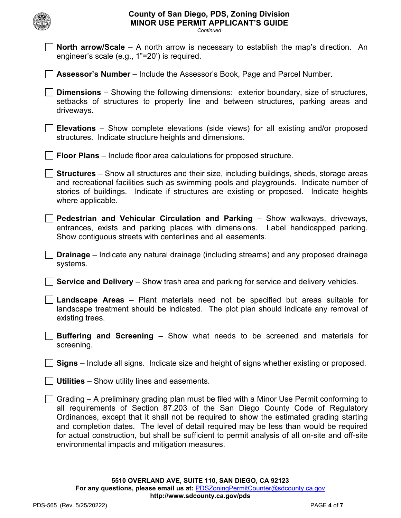| <b>County of San Diego, PDS, Zoning Division</b><br><b>MINOR USE PERMIT APPLICANT'S GUIDE</b><br>Continued                                                                                                                                                                                                                                                                                                                                                                                                         |
|--------------------------------------------------------------------------------------------------------------------------------------------------------------------------------------------------------------------------------------------------------------------------------------------------------------------------------------------------------------------------------------------------------------------------------------------------------------------------------------------------------------------|
| <b>North arrow/Scale</b> $-$ A north arrow is necessary to establish the map's direction. An<br>engineer's scale (e.g., 1"=20') is required.                                                                                                                                                                                                                                                                                                                                                                       |
| <b>Assessor's Number</b> – Include the Assessor's Book, Page and Parcel Number.                                                                                                                                                                                                                                                                                                                                                                                                                                    |
| <b>Dimensions</b> – Showing the following dimensions: exterior boundary, size of structures,<br>setbacks of structures to property line and between structures, parking areas and<br>driveways.                                                                                                                                                                                                                                                                                                                    |
| <b>Elevations</b> – Show complete elevations (side views) for all existing and/or proposed<br>structures. Indicate structure heights and dimensions.                                                                                                                                                                                                                                                                                                                                                               |
| <b>Floor Plans</b> – Include floor area calculations for proposed structure.                                                                                                                                                                                                                                                                                                                                                                                                                                       |
| <b>Structures</b> – Show all structures and their size, including buildings, sheds, storage areas<br>and recreational facilities such as swimming pools and playgrounds. Indicate number of<br>stories of buildings. Indicate if structures are existing or proposed. Indicate heights<br>where applicable.                                                                                                                                                                                                        |
| Pedestrian and Vehicular Circulation and Parking - Show walkways, driveways,<br>entrances, exists and parking places with dimensions. Label handicapped parking.<br>Show contiguous streets with centerlines and all easements.                                                                                                                                                                                                                                                                                    |
| Drainage - Indicate any natural drainage (including streams) and any proposed drainage<br>systems.                                                                                                                                                                                                                                                                                                                                                                                                                 |
| <b>Service and Delivery</b> – Show trash area and parking for service and delivery vehicles.                                                                                                                                                                                                                                                                                                                                                                                                                       |
| Landscape Areas - Plant materials need not be specified but areas suitable for<br>landscape treatment should be indicated. The plot plan should indicate any removal of<br>existing trees.                                                                                                                                                                                                                                                                                                                         |
| <b>Buffering and Screening</b> – Show what needs to be screened and materials for<br>screening.                                                                                                                                                                                                                                                                                                                                                                                                                    |
| <b>Signs</b> – Include all signs. Indicate size and height of signs whether existing or proposed.                                                                                                                                                                                                                                                                                                                                                                                                                  |
| <b>Utilities</b> – Show utility lines and easements.                                                                                                                                                                                                                                                                                                                                                                                                                                                               |
| Grading – A preliminary grading plan must be filed with a Minor Use Permit conforming to<br>all requirements of Section 87.203 of the San Diego County Code of Regulatory<br>Ordinances, except that it shall not be required to show the estimated grading starting<br>and completion dates. The level of detail required may be less than would be required<br>for actual construction, but shall be sufficient to permit analysis of all on-site and off-site<br>environmental impacts and mitigation measures. |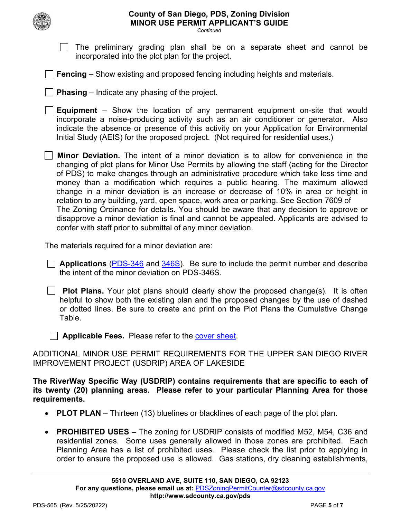

# **County of San Diego, PDS, Zoning Division MINOR USE PERMIT APPLICANT'S GUIDE**

*Continued*

- $\Box$  The preliminary grading plan shall be on a separate sheet and cannot be incorporated into the plot plan for the project.
- **Fencing** Show existing and proposed fencing including heights and materials.
- **Phasing** Indicate any phasing of the project.
- **Equipment** Show the location of any permanent equipment on-site that would incorporate a noise-producing activity such as an air conditioner or generator. Also indicate the absence or presence of this activity on your Application for Environmental Initial Study (AEIS) for the proposed project. (Not required for residential uses.)
- **Minor Deviation.** The intent of a minor deviation is to allow for convenience in the changing of plot plans for Minor Use Permits by allowing the staff (acting for the Director of PDS) to make changes through an administrative procedure which take less time and money than a modification which requires a public hearing. The maximum allowed change in a minor deviation is an increase or decrease of 10% in area or height in relation to any building, yard, open space, work area or parking. See Section 7609 of The Zoning Ordinance for details. You should be aware that any decision to approve or disapprove a minor deviation is final and cannot be appealed. Applicants are advised to confer with staff prior to submittal of any minor deviation.

The materials required for a minor deviation are:

- **Applications** [\(PDS-346](https://www.sandiegocounty.gov/content/dam/sdc/pds/zoning/formfields/PDS-PLN-346.pdf) and [346S\)](https://www.sandiegocounty.gov/content/dam/sdc/pds/zoning/formfields/PDS-PLN-346S.pdf). Be sure to include the permit number and describe the intent of the minor deviation on PDS-346S.
- **Plot Plans.** Your plot plans should clearly show the proposed change(s). It is often helpful to show both the existing plan and the proposed changes by the use of dashed or dotted lines. Be sure to create and print on the Plot Plans the Cumulative Change Table.
- **Applicable Fees.** Please refer to the [cover sheet.](http://www.sandiegocounty.gov/content/sdc/pds/zoning/ZoningPermits.html)
- ADDITIONAL MINOR USE PERMIT REQUIREMENTS FOR THE UPPER SAN DIEGO RIVER IMPROVEMENT PROJECT (USDRIP) AREA OF LAKESIDE

**The RiverWay Specific Way (USDRIP) contains requirements that are specific to each of its twenty (20) planning areas. Please refer to your particular Planning Area for those requirements.**

- **PLOT PLAN** Thirteen (13) bluelines or blacklines of each page of the plot plan.
- **PROHIBITED USES** The zoning for USDRIP consists of modified M52, M54, C36 and residential zones. Some uses generally allowed in those zones are prohibited. Each Planning Area has a list of prohibited uses. Please check the list prior to applying in order to ensure the proposed use is allowed. Gas stations, dry cleaning establishments,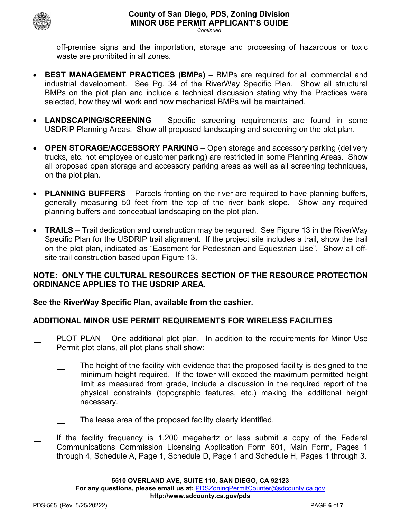

*Continued*

off-premise signs and the importation, storage and processing of hazardous or toxic waste are prohibited in all zones.

- **BEST MANAGEMENT PRACTICES (BMPs)** BMPs are required for all commercial and industrial development. See Pg. 34 of the RiverWay Specific Plan. Show all structural BMPs on the plot plan and include a technical discussion stating why the Practices were selected, how they will work and how mechanical BMPs will be maintained.
- **LANDSCAPING/SCREENING** Specific screening requirements are found in some USDRIP Planning Areas. Show all proposed landscaping and screening on the plot plan.
- **OPEN STORAGE/ACCESSORY PARKING** Open storage and accessory parking (delivery trucks, etc. not employee or customer parking) are restricted in some Planning Areas. Show all proposed open storage and accessory parking areas as well as all screening techniques, on the plot plan.
- **PLANNING BUFFERS** Parcels fronting on the river are required to have planning buffers, generally measuring 50 feet from the top of the river bank slope. Show any required planning buffers and conceptual landscaping on the plot plan.
- **TRAILS** Trail dedication and construction may be required. See Figure 13 in the RiverWay Specific Plan for the USDRIP trail alignment. If the project site includes a trail, show the trail on the plot plan, indicated as "Easement for Pedestrian and Equestrian Use". Show all offsite trail construction based upon Figure 13.

# **NOTE: ONLY THE CULTURAL RESOURCES SECTION OF THE RESOURCE PROTECTION ORDINANCE APPLIES TO THE USDRIP AREA.**

# **See the RiverWay Specific Plan, available from the cashier.**

# **ADDITIONAL MINOR USE PERMIT REQUIREMENTS FOR WIRELESS FACILITIES**

- $\Box$ PLOT PLAN – One additional plot plan. In addition to the requirements for Minor Use Permit plot plans, all plot plans shall show:
	- $\mathcal{L}^{\text{max}}$ The height of the facility with evidence that the proposed facility is designed to the minimum height required. If the tower will exceed the maximum permitted height limit as measured from grade, include a discussion in the required report of the physical constraints (topographic features, etc.) making the additional height necessary.

 $\Box$ 

 $\mathcal{L}_{\mathcal{A}}$ 

- The lease area of the proposed facility clearly identified.
- If the facility frequency is 1,200 megahertz or less submit a copy of the Federal Communications Commission Licensing Application Form 601, Main Form, Pages 1 through 4, Schedule A, Page 1, Schedule D, Page 1 and Schedule H, Pages 1 through 3.